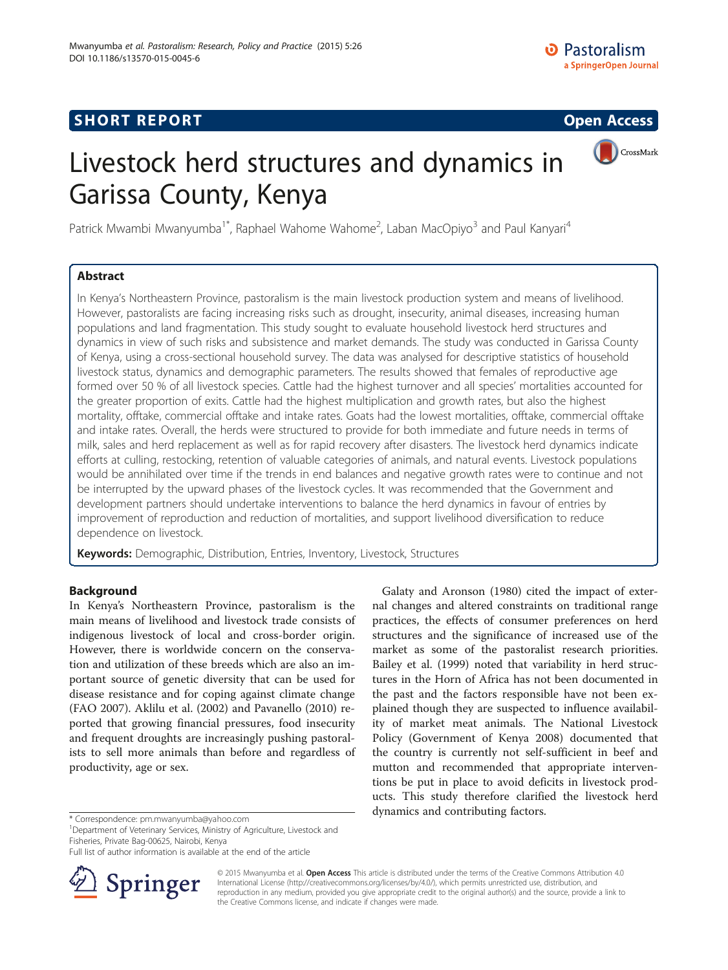# **SHORT REPORT SHORT CONSTRUCTED AT A SEXUAL CONSTRUCT OF A SEXUAL CONSTRUCTION OPEN Access**



CrossMark

# Livestock herd structures and dynamics in Garissa County, Kenya

Patrick Mwambi Mwanyumba<sup>1\*</sup>, Raphael Wahome Wahome<sup>2</sup>, Laban MacOpiyo<sup>3</sup> and Paul Kanyari<sup>4</sup>

# Abstract

In Kenya's Northeastern Province, pastoralism is the main livestock production system and means of livelihood. However, pastoralists are facing increasing risks such as drought, insecurity, animal diseases, increasing human populations and land fragmentation. This study sought to evaluate household livestock herd structures and dynamics in view of such risks and subsistence and market demands. The study was conducted in Garissa County of Kenya, using a cross-sectional household survey. The data was analysed for descriptive statistics of household livestock status, dynamics and demographic parameters. The results showed that females of reproductive age formed over 50 % of all livestock species. Cattle had the highest turnover and all species' mortalities accounted for the greater proportion of exits. Cattle had the highest multiplication and growth rates, but also the highest mortality, offtake, commercial offtake and intake rates. Goats had the lowest mortalities, offtake, commercial offtake and intake rates. Overall, the herds were structured to provide for both immediate and future needs in terms of milk, sales and herd replacement as well as for rapid recovery after disasters. The livestock herd dynamics indicate efforts at culling, restocking, retention of valuable categories of animals, and natural events. Livestock populations would be annihilated over time if the trends in end balances and negative growth rates were to continue and not be interrupted by the upward phases of the livestock cycles. It was recommended that the Government and development partners should undertake interventions to balance the herd dynamics in favour of entries by improvement of reproduction and reduction of mortalities, and support livelihood diversification to reduce dependence on livestock.

Keywords: Demographic, Distribution, Entries, Inventory, Livestock, Structures

# Background

In Kenya's Northeastern Province, pastoralism is the main means of livelihood and livestock trade consists of indigenous livestock of local and cross-border origin. However, there is worldwide concern on the conservation and utilization of these breeds which are also an important source of genetic diversity that can be used for disease resistance and for coping against climate change (FAO [2007\)](#page-6-0). Aklilu et al. [\(2002\)](#page-6-0) and Pavanello [\(2010\)](#page-6-0) reported that growing financial pressures, food insecurity and frequent droughts are increasingly pushing pastoralists to sell more animals than before and regardless of productivity, age or sex.

Galaty and Aronson [\(1980\)](#page-6-0) cited the impact of external changes and altered constraints on traditional range practices, the effects of consumer preferences on herd structures and the significance of increased use of the market as some of the pastoralist research priorities. Bailey et al. [\(1999\)](#page-6-0) noted that variability in herd structures in the Horn of Africa has not been documented in the past and the factors responsible have not been explained though they are suspected to influence availability of market meat animals. The National Livestock Policy (Government of Kenya [2008\)](#page-6-0) documented that the country is currently not self-sufficient in beef and mutton and recommended that appropriate interventions be put in place to avoid deficits in livestock products. This study therefore clarified the livestock herd dynamics and contributing factors. \* Correspondence: [pm.mwanyumba@yahoo.com](mailto:pm.mwanyumba@yahoo.com) <sup>1</sup>

<sup>1</sup>Department of Veterinary Services, Ministry of Agriculture, Livestock and Fisheries, Private Bag-00625, Nairobi, Kenya

Full list of author information is available at the end of the article



© 2015 Mwanyumba et al. Open Access This article is distributed under the terms of the Creative Commons Attribution 4.0 International License ([http://creativecommons.org/licenses/by/4.0/\)](http://creativecommons.org/licenses/by/4.0/), which permits unrestricted use, distribution, and reproduction in any medium, provided you give appropriate credit to the original author(s) and the source, provide a link to the Creative Commons license, and indicate if changes were made.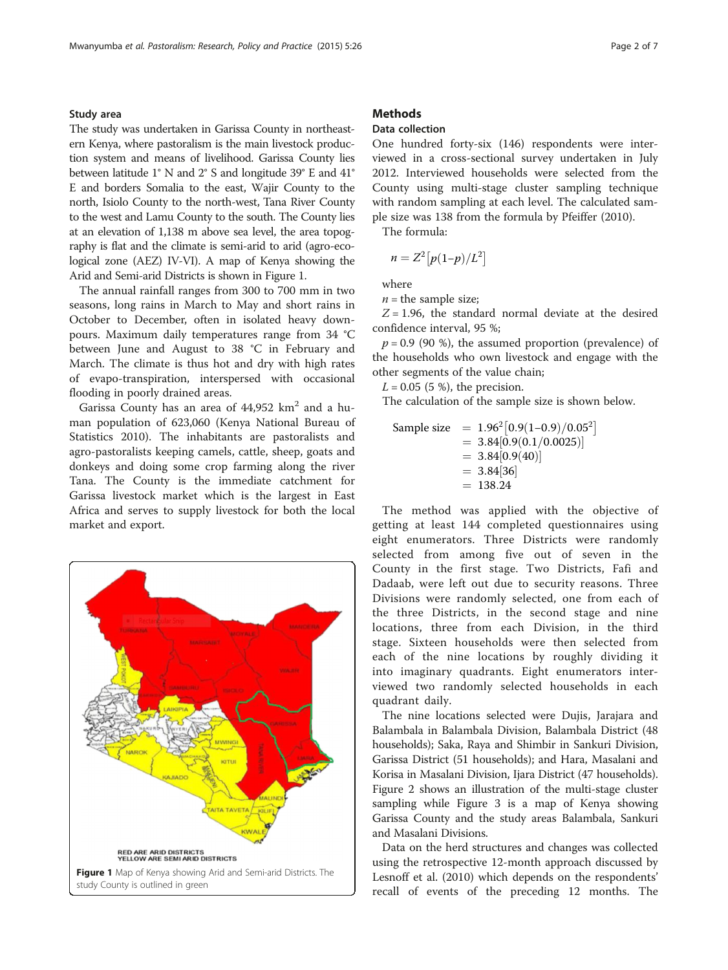#### Study area

The study was undertaken in Garissa County in northeastern Kenya, where pastoralism is the main livestock production system and means of livelihood. Garissa County lies between latitude 1° N and 2° S and longitude 39° E and 41° E and borders Somalia to the east, Wajir County to the north, Isiolo County to the north-west, Tana River County to the west and Lamu County to the south. The County lies at an elevation of 1,138 m above sea level, the area topography is flat and the climate is semi-arid to arid (agro-ecological zone (AEZ) IV-VI). A map of Kenya showing the Arid and Semi-arid Districts is shown in Figure 1.

The annual rainfall ranges from 300 to 700 mm in two seasons, long rains in March to May and short rains in October to December, often in isolated heavy downpours. Maximum daily temperatures range from 34 °C between June and August to 38 °C in February and March. The climate is thus hot and dry with high rates of evapo-transpiration, interspersed with occasional flooding in poorly drained areas.

Garissa County has an area of  $44,952$  km<sup>2</sup> and a human population of 623,060 (Kenya National Bureau of Statistics [2010\)](#page-6-0). The inhabitants are pastoralists and agro-pastoralists keeping camels, cattle, sheep, goats and donkeys and doing some crop farming along the river Tana. The County is the immediate catchment for Garissa livestock market which is the largest in East Africa and serves to supply livestock for both the local market and export.



### **Methods**

## Data collection

One hundred forty-six (146) respondents were interviewed in a cross-sectional survey undertaken in July 2012. Interviewed households were selected from the County using multi-stage cluster sampling technique with random sampling at each level. The calculated sample size was 138 from the formula by Pfeiffer ([2010\)](#page-6-0).

The formula:

$$
n = Z^2 \big[ p(1-p)/L^2 \big]
$$

where

 $n =$  the sample size;

 $Z = 1.96$ , the standard normal deviate at the desired confidence interval, 95 %;

 $p = 0.9$  (90 %), the assumed proportion (prevalence) of the households who own livestock and engage with the other segments of the value chain;

 $L = 0.05$  (5 %), the precision.

The calculation of the sample size is shown below.

Sample size 
$$
= 1.96^{2} [0.9(1-0.9)/0.05^{2}]
$$

$$
= 3.84[0.9(0.1/0.0025)]
$$

$$
= 3.84[0.9(40)]
$$

$$
= 3.84[36]
$$

$$
= 138.24
$$

The method was applied with the objective of getting at least 144 completed questionnaires using eight enumerators. Three Districts were randomly selected from among five out of seven in the County in the first stage. Two Districts, Fafi and Dadaab, were left out due to security reasons. Three Divisions were randomly selected, one from each of the three Districts, in the second stage and nine locations, three from each Division, in the third stage. Sixteen households were then selected from each of the nine locations by roughly dividing it into imaginary quadrants. Eight enumerators interviewed two randomly selected households in each quadrant daily.

The nine locations selected were Dujis, Jarajara and Balambala in Balambala Division, Balambala District (48 households); Saka, Raya and Shimbir in Sankuri Division, Garissa District (51 households); and Hara, Masalani and Korisa in Masalani Division, Ijara District (47 households). Figure [2](#page-2-0) shows an illustration of the multi-stage cluster sampling while Figure [3](#page-2-0) is a map of Kenya showing Garissa County and the study areas Balambala, Sankuri and Masalani Divisions.

Data on the herd structures and changes was collected using the retrospective 12-month approach discussed by Lesnoff et al. [\(2010\)](#page-6-0) which depends on the respondents' recall of events of the preceding 12 months. The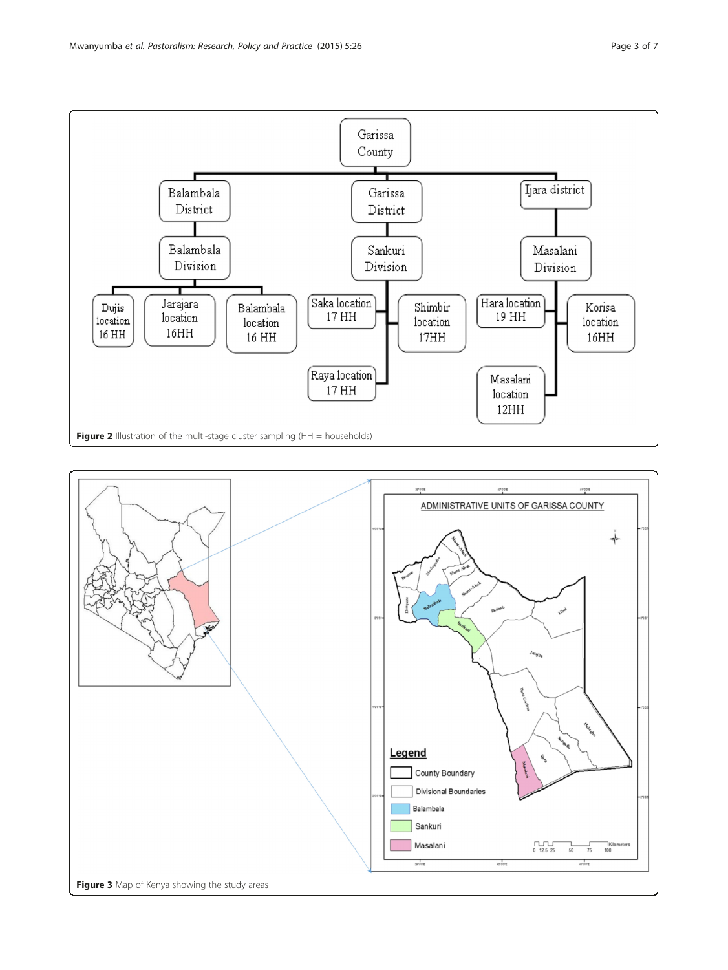<span id="page-2-0"></span>

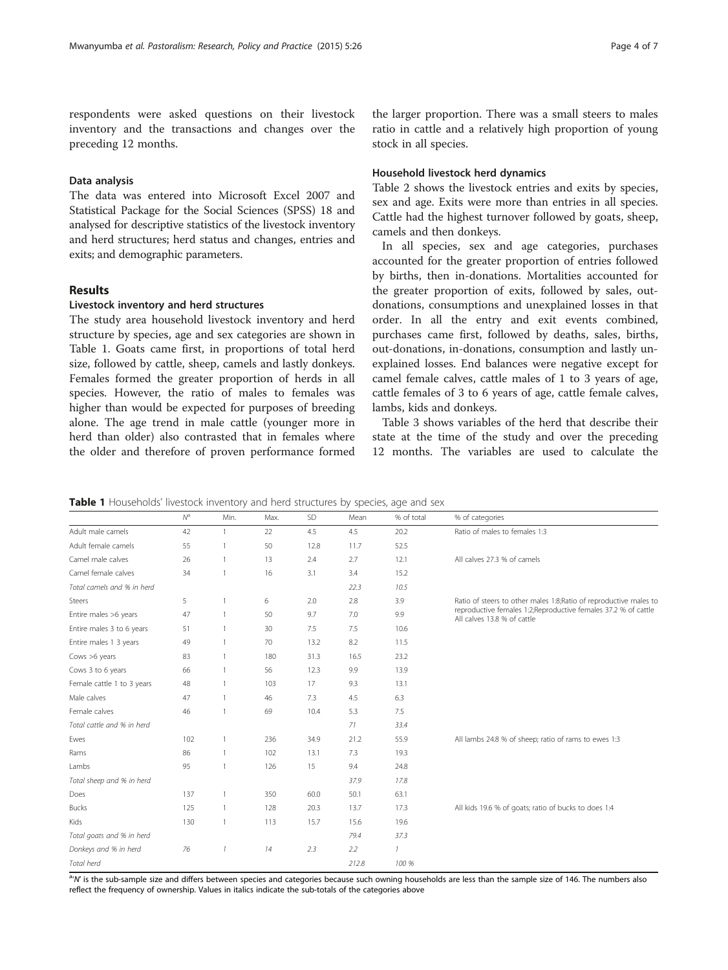respondents were asked questions on their livestock inventory and the transactions and changes over the preceding 12 months.

#### Data analysis

The data was entered into Microsoft Excel 2007 and Statistical Package for the Social Sciences (SPSS) 18 and analysed for descriptive statistics of the livestock inventory and herd structures; herd status and changes, entries and exits; and demographic parameters.

#### Results

#### Livestock inventory and herd structures

The study area household livestock inventory and herd structure by species, age and sex categories are shown in Table 1. Goats came first, in proportions of total herd size, followed by cattle, sheep, camels and lastly donkeys. Females formed the greater proportion of herds in all species. However, the ratio of males to females was higher than would be expected for purposes of breeding alone. The age trend in male cattle (younger more in herd than older) also contrasted that in females where the older and therefore of proven performance formed the larger proportion. There was a small steers to males ratio in cattle and a relatively high proportion of young stock in all species.

#### Household livestock herd dynamics

Table [2](#page-4-0) shows the livestock entries and exits by species, sex and age. Exits were more than entries in all species. Cattle had the highest turnover followed by goats, sheep, camels and then donkeys.

In all species, sex and age categories, purchases accounted for the greater proportion of entries followed by births, then in-donations. Mortalities accounted for the greater proportion of exits, followed by sales, outdonations, consumptions and unexplained losses in that order. In all the entry and exit events combined, purchases came first, followed by deaths, sales, births, out-donations, in-donations, consumption and lastly unexplained losses. End balances were negative except for camel female calves, cattle males of 1 to 3 years of age, cattle females of 3 to 6 years of age, cattle female calves, lambs, kids and donkeys.

Table [3](#page-4-0) shows variables of the herd that describe their state at the time of the study and over the preceding 12 months. The variables are used to calculate the

Table 1 Households' livestock inventory and herd structures by species, age and sex

 $N^2$  Min. Max. SD Mean % of total % of categories Adult male camels **42** 1 22 4.5 4.5 20.2 Ratio of males to females 1:3 Adult female camels **55** 1 50 12.8 11.7 52.5 Camel male calves 20 26 1 13 2.4 2.7 12.1 All calves 27.3 % of camels Camel female calves 34 1 16 3.1 3.4 15.2 Total camels and % in herd 22.3 10.5 Steers 5 1 6 2.0 2.8 3.9 Ratio of steers to other males 1:8;Ratio of reproductive males to reproductive females 1:2;Reproductive females 37.2 % of cattle All calves 13.8 % of cattle males >6 years 47 1 50 9.7 1 9.9 9.9 1 Collective Controllation in the set of cattle<br>All calves 13.8 % of cattle Entire males 3 to 6 years 51 1 30 7.5 7.5 10.6 Entire males 1 3 years 49 1 70 13.2 8.2 11.5 Cows >6 years 83 1 180 31.3 16.5 23.2 Cows 3 to 6 years 66 1 56 12.3 9.9 13.9 Female cattle 1 to 3 years 48 1 103 17 9.3 13.1 Male calves **47** 1 46 7.3 4.5 6.3 Female calves **46** 1 69 10.4 5.3 7.5 Total cattle and % in herd 71 33.4 Ewes 102 1 236 34.9 21.2 55.9 All lambs 24.8 % of sheep; ratio of rams to ewes 1:3 Rams 86 1 102 13.1 7.3 19.3 Lambs 95 1 126 15 9.4 24.8 Total sheep and % in herd 37.9 17.8 Does 137 1 350 60.0 50.1 63.1 Bucks 125 1 128 20.3 13.7 17.3 All kids 19.6 % of goats; ratio of bucks to does 1:4 Kids 130 1 113 15.7 15.6 19.6 Total goats and % in herd 79.4 37.3 Donkeys and % in herd 76 1 14 2.3 2.2 1 Total herd 212.8 100 %

a'N' is the sub-sample size and differs between species and categories because such owning households are less than the sample size of 146. The numbers also reflect the frequency of ownership. Values in italics indicate the sub-totals of the categories above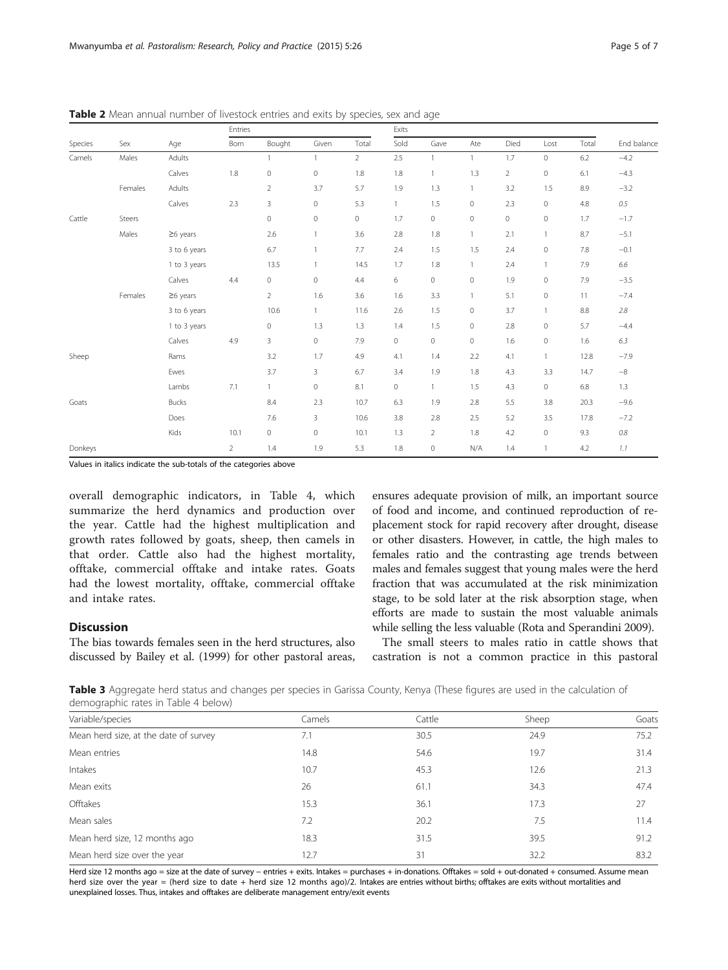| Species | Sex     | Age            | Entries        |                     |                     | Exits          |              |                |              |                |                     |       |             |
|---------|---------|----------------|----------------|---------------------|---------------------|----------------|--------------|----------------|--------------|----------------|---------------------|-------|-------------|
|         |         |                | Born           | Bought              | Given               | Total          | Sold         | Gave           | Ate          | Died           | Lost                | Total | End balance |
| Camels  | Males   | Adults         |                | $\mathbf{1}$        | $\mathbf{1}$        | $\overline{2}$ | 2.5          | $\mathbf{1}$   | $\mathbf{1}$ | 1.7            | $\circ$             | 6.2   | $-4.2$      |
|         |         | Calves         | 1.8            | $\,0\,$             | $\mathbf 0$         | 1.8            | 1.8          | $\mathbf{1}$   | 1.3          | $\overline{2}$ | $\mathbb O$         | 6.1   | $-4.3$      |
|         | Females | Adults         |                | $\overline{2}$      | 3.7                 | 5.7            | 1.9          | 1.3            | $\mathbf{1}$ | 3.2            | 1.5                 | 8.9   | $-3.2$      |
|         |         | Calves         | 2.3            | 3                   | $\circ$             | 5.3            | $\mathbf{1}$ | 1.5            | $\circ$      | 2.3            | $\mathsf{O}\xspace$ | 4.8   | $0.5\,$     |
| Cattle  | Steers  |                |                | $\mathsf{O}\xspace$ | $\mathbf 0$         | 0              | 1.7          | $\mathbb O$    | $\circ$      | 0              | $\mathbf 0$         | 1.7   | $-1.7$      |
|         | Males   | $\geq$ 6 years |                | 2.6                 | $\mathbf{1}$        | 3.6            | 2.8          | 1.8            | $\mathbf{1}$ | 2.1            | $\mathbf{1}$        | 8.7   | $-5.1$      |
|         |         | 3 to 6 years   |                | 6.7                 | $\mathbf{1}$        | 7.7            | 2.4          | 1.5            | 1.5          | 2.4            | $\mathsf{O}\xspace$ | 7.8   | $-0.1$      |
|         |         | 1 to 3 years   |                | 13.5                | $\mathbf{1}$        | 14.5           | 1.7          | 1.8            | $\mathbf{1}$ | 2.4            | $\mathbf{1}$        | 7.9   | 6.6         |
|         |         | Calves         | 4.4            | $\,0\,$             | $\mathsf{O}\xspace$ | 4.4            | 6            | $\mathbb O$    | $\circ$      | 1.9            | $\mathbb O$         | 7.9   | $-3.5$      |
|         | Females | $\geq$ 6 years |                | $\overline{2}$      | 1.6                 | 3.6            | 1.6          | 3.3            | $\mathbf{1}$ | 5.1            | $\mathbb O$         | 11    | $-7.4$      |
|         |         | 3 to 6 years   |                | 10.6                | $\mathbf{1}$        | 11.6           | 2.6          | 1.5            | $\circ$      | 3.7            | $\mathbf{1}$        | 8.8   | 2.8         |
|         |         | 1 to 3 years   |                | $\mathbf 0$         | 1.3                 | 1.3            | 1.4          | 1.5            | 0            | 2.8            | $\mathsf{O}\xspace$ | 5.7   | $-4.4$      |
|         |         | Calves         | 4.9            | 3                   | $\mathbb O$         | 7.9            | $\mathbb O$  | $\mathbb O$    | $\circ$      | 1.6            | $\mathbb O$         | 1.6   | 6.3         |
| Sheep   |         | Rams           |                | 3.2                 | 1.7                 | 4.9            | 4.1          | 1.4            | 2.2          | 4.1            | $\mathbf{1}$        | 12.8  | $-7.9$      |
|         |         | Ewes           |                | 3.7                 | 3                   | 6.7            | 3.4          | 1.9            | 1.8          | 4.3            | 3.3                 | 14.7  | $-8$        |
|         |         | Lambs          | 7.1            | $\mathbf{1}$        | $\mathsf{O}\xspace$ | 8.1            | $\circ$      | $\mathbf{1}$   | 1.5          | 4.3            | $\mathsf{O}$        | 6.8   | 1.3         |
| Goats   |         | <b>Bucks</b>   |                | 8.4                 | 2.3                 | 10.7           | 6.3          | 1.9            | 2.8          | 5.5            | 3.8                 | 20.3  | $-9.6$      |
|         |         | Does           |                | 7.6                 | 3                   | 10.6           | 3.8          | 2.8            | 2.5          | 5.2            | 3.5                 | 17.8  | $-7.2$      |
|         |         | Kids           | 10.1           | $\,0\,$             | $\mathsf{O}\xspace$ | 10.1           | 1.3          | $\overline{2}$ | 1.8          | 4.2            | $\mathsf{O}\xspace$ | 9.3   | $0.8\,$     |
| Donkeys |         |                | $\overline{2}$ | 1.4                 | 1.9                 | 5.3            | 1.8          | $\circ$        | N/A          | 1.4            | $\mathbf{1}$        | 4.2   | 1.1         |

<span id="page-4-0"></span>Table 2 Mean annual number of livestock entries and exits by species, sex and age

Values in italics indicate the sub-totals of the categories above

overall demographic indicators, in Table [4,](#page-5-0) which summarize the herd dynamics and production over the year. Cattle had the highest multiplication and growth rates followed by goats, sheep, then camels in that order. Cattle also had the highest mortality, offtake, commercial offtake and intake rates. Goats had the lowest mortality, offtake, commercial offtake and intake rates.

#### **Discussion**

The bias towards females seen in the herd structures, also discussed by Bailey et al. ([1999](#page-6-0)) for other pastoral areas,

ensures adequate provision of milk, an important source of food and income, and continued reproduction of replacement stock for rapid recovery after drought, disease or other disasters. However, in cattle, the high males to females ratio and the contrasting age trends between males and females suggest that young males were the herd fraction that was accumulated at the risk minimization stage, to be sold later at the risk absorption stage, when efforts are made to sustain the most valuable animals while selling the less valuable (Rota and Sperandini [2009](#page-6-0)).

The small steers to males ratio in cattle shows that castration is not a common practice in this pastoral

Table 3 Aggregate herd status and changes per species in Garissa County, Kenya (These figures are used in the calculation of demographic rates in Table [4](#page-5-0) below)

| Variable/species                      | Camels | Cattle | Sheep | Goats |
|---------------------------------------|--------|--------|-------|-------|
| Mean herd size, at the date of survey | 7.1    | 30.5   | 24.9  | 75.2  |
| Mean entries                          | 14.8   | 54.6   | 19.7  | 31.4  |
| Intakes                               | 10.7   | 45.3   | 12.6  | 21.3  |
| Mean exits                            | 26     | 61.1   | 34.3  | 47.4  |
| Offtakes                              | 15.3   | 36.1   | 17.3  | 27    |
| Mean sales                            | 7.2    | 20.2   | 7.5   | 11.4  |
| Mean herd size, 12 months ago         | 18.3   | 31.5   | 39.5  | 91.2  |
| Mean herd size over the year          | 12.7   | 31     | 32.2  | 83.2  |

Herd size 12 months ago = size at the date of survey − entries + exits. Intakes = purchases + in-donations. Offtakes = sold + out-donated + consumed. Assume mean herd size over the year = (herd size to date + herd size 12 months ago)/2. Intakes are entries without births; offtakes are exits without mortalities and unexplained losses. Thus, intakes and offtakes are deliberate management entry/exit events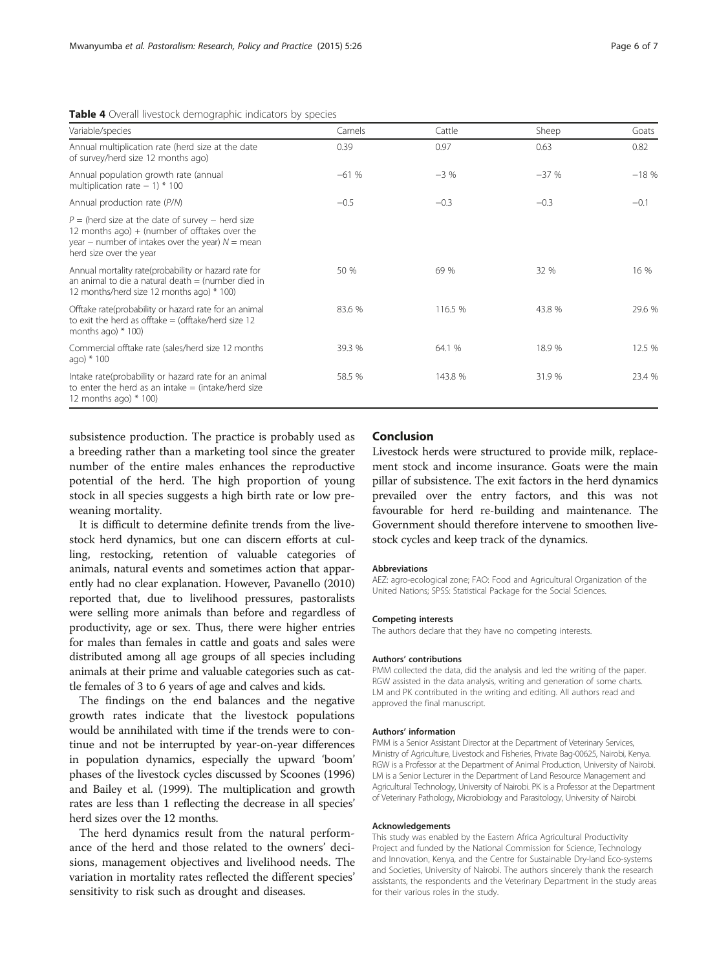| Variable/species                                                                                                                                                                       | Camels | Cattle  | Sheep  | Goats  |
|----------------------------------------------------------------------------------------------------------------------------------------------------------------------------------------|--------|---------|--------|--------|
| Annual multiplication rate (herd size at the date<br>of survey/herd size 12 months ago)                                                                                                | 0.39   | 0.97    | 0.63   | 0.82   |
| Annual population growth rate (annual<br>multiplication rate $-1$ * 100                                                                                                                | $-61%$ | $-3\%$  | $-37%$ | $-18%$ |
| Annual production rate (P/M)                                                                                                                                                           | $-0.5$ | $-0.3$  | $-0.3$ | $-0.1$ |
| $P =$ (herd size at the date of survey – herd size<br>12 months ago) $+$ (number of offtakes over the<br>year – number of intakes over the year) $N =$ mean<br>herd size over the year |        |         |        |        |
| Annual mortality rate (probability or hazard rate for<br>an animal to die a natural death $=$ (number died in<br>12 months/herd size 12 months ago) * 100)                             | 50 %   | 69 %    | 32 %   | 16 %   |
| Offtake rate(probability or hazard rate for an animal<br>to exit the herd as offtake = (offtake/herd size 12<br>months ago) $*100$                                                     | 83.6 % | 116.5 % | 43.8 % | 29.6 % |
| Commercial offtake rate (sales/herd size 12 months<br>ago) * 100                                                                                                                       | 39.3 % | 64.1 %  | 18.9 % | 12.5 % |
| Intake rate(probability or hazard rate for an animal<br>to enter the herd as an intake $=$ (intake/herd size<br>12 months ago) $*$ 100)                                                | 58.5 % | 143.8 % | 31.9 % | 23.4 % |

#### <span id="page-5-0"></span>Table 4 Overall livestock demographic indicators by species

subsistence production. The practice is probably used as a breeding rather than a marketing tool since the greater number of the entire males enhances the reproductive potential of the herd. The high proportion of young stock in all species suggests a high birth rate or low preweaning mortality.

It is difficult to determine definite trends from the livestock herd dynamics, but one can discern efforts at culling, restocking, retention of valuable categories of animals, natural events and sometimes action that apparently had no clear explanation. However, Pavanello [\(2010](#page-6-0)) reported that, due to livelihood pressures, pastoralists were selling more animals than before and regardless of productivity, age or sex. Thus, there were higher entries for males than females in cattle and goats and sales were distributed among all age groups of all species including animals at their prime and valuable categories such as cattle females of 3 to 6 years of age and calves and kids.

The findings on the end balances and the negative growth rates indicate that the livestock populations would be annihilated with time if the trends were to continue and not be interrupted by year-on-year differences in population dynamics, especially the upward 'boom' phases of the livestock cycles discussed by Scoones [\(1996](#page-6-0)) and Bailey et al. ([1999](#page-6-0)). The multiplication and growth rates are less than 1 reflecting the decrease in all species' herd sizes over the 12 months.

The herd dynamics result from the natural performance of the herd and those related to the owners' decisions, management objectives and livelihood needs. The variation in mortality rates reflected the different species' sensitivity to risk such as drought and diseases.

#### Conclusion

Livestock herds were structured to provide milk, replacement stock and income insurance. Goats were the main pillar of subsistence. The exit factors in the herd dynamics prevailed over the entry factors, and this was not favourable for herd re-building and maintenance. The Government should therefore intervene to smoothen livestock cycles and keep track of the dynamics.

#### Abbreviations

AEZ: agro-ecological zone; FAO: Food and Agricultural Organization of the United Nations; SPSS: Statistical Package for the Social Sciences.

#### Competing interests

The authors declare that they have no competing interests.

#### Authors' contributions

PMM collected the data, did the analysis and led the writing of the paper. RGW assisted in the data analysis, writing and generation of some charts. LM and PK contributed in the writing and editing. All authors read and approved the final manuscript.

#### Authors' information

PMM is a Senior Assistant Director at the Department of Veterinary Services, Ministry of Agriculture, Livestock and Fisheries, Private Bag-00625, Nairobi, Kenya. RGW is a Professor at the Department of Animal Production, University of Nairobi. LM is a Senior Lecturer in the Department of Land Resource Management and Agricultural Technology, University of Nairobi. PK is a Professor at the Department of Veterinary Pathology, Microbiology and Parasitology, University of Nairobi.

#### Acknowledgements

This study was enabled by the Eastern Africa Agricultural Productivity Project and funded by the National Commission for Science, Technology and Innovation, Kenya, and the Centre for Sustainable Dry-land Eco-systems and Societies, University of Nairobi. The authors sincerely thank the research assistants, the respondents and the Veterinary Department in the study areas for their various roles in the study.